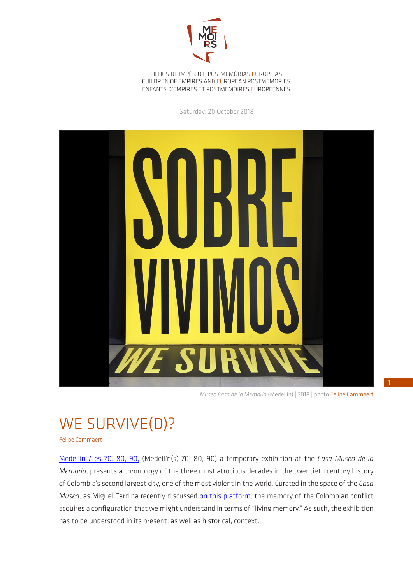

FILHOS DE IMPÉRIO E PÓS-MEMÓRIAS EUROPEIAS CHILDREN OF EMPIRES AND EUROPEAN POSTMEMORIES ENFANTS D'EMPIRES ET POSTMÉMOIRES EUROPÉENNES

Saturday, 20 October 2018



 *Museo Casa de la Memoria* (Medellín) | 2018 | photo Felipe Cammaert

## WE SURVIVE(D)?

Felipe Cammaert

Medellín / es 70, 80, 90, (Medellín(s) 70, 80, 90) a temporary exhibition at the *Casa Museo de la Memoria*, presents a chronology of the three most atrocious decades in the twentieth century history of Colombia's second largest city, one of the most violent in the world. Curated in the space of the *Casa Museo*, as Miguel Cardina recently discussed on this platform, the memory of the Colombian conflict acquires a configuration that we might understand in terms of "living memory." As such, the exhibition has to be understood in its present, as well as historical, context.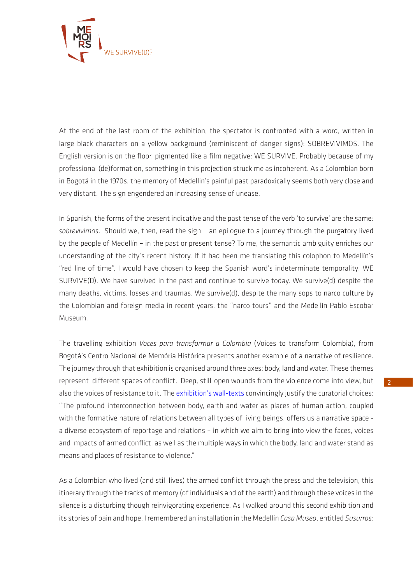

At the end of the last room of the exhibition, the spectator is confronted with a word, written in large black characters on a yellow background (reminiscent of danger signs): SOBREVIVIMOS. The English version is on the floor, pigmented like a film negative: WE SURVIVE. Probably because of my professional (de)formation, something in this projection struck me as incoherent. As a Colombian born in Bogotá in the 1970s, the memory of Medellin's painful past paradoxically seems both very close and very distant. The sign engendered an increasing sense of unease.

In Spanish, the forms of the present indicative and the past tense of the verb 'to survive' are the same: *sobrevivimos*. Should we, then, read the sign – an epilogue to a journey through the purgatory lived by the people of Medellín – in the past or present tense? To me, the semantic ambiguity enriches our understanding of the city's recent history. If it had been me translating this colophon to Medellín's "red line of time", I would have chosen to keep the Spanish word's indeterminate temporality: WE SURVIVE(D). We have survived in the past and continue to survive today. We survive(d) despite the many deaths, victims, losses and traumas. We survive(d), despite the many sops to narco culture by the Colombian and foreign media in recent years, the "narco tours" and the Medellín Pablo Escobar Museum.

The travelling exhibition *Voces para transformar a Colombia* (Voices to transform Colombia), from Bogotá's Centro Nacional de Memória Histórica presents another example of a narrative of resilience. The journey through that exhibition is organised around three axes: body, land and water. These themes represent different spaces of conflict. Deep, still-open wounds from the violence come into view, but also the voices of resistance to it. The exhibition's wall-texts convincingly justify the curatorial choices: "The profound interconnection between body, earth and water as places of human action, coupled with the formative nature of relations between all types of living beings, offers us a narrative space a diverse ecosystem of reportage and relations – in which we aim to bring into view the faces, voices and impacts of armed conflict, as well as the multiple ways in which the body, land and water stand as means and places of resistance to violence."

As a Colombian who lived (and still lives) the armed conflict through the press and the television, this itinerary through the tracks of memory (of individuals and of the earth) and through these voices in the silence is a disturbing though reinvigorating experience. As I walked around this second exhibition and its stories of pain and hope, I remembered an installation in the Medellín *Casa Museo*, entitled *Susurros:*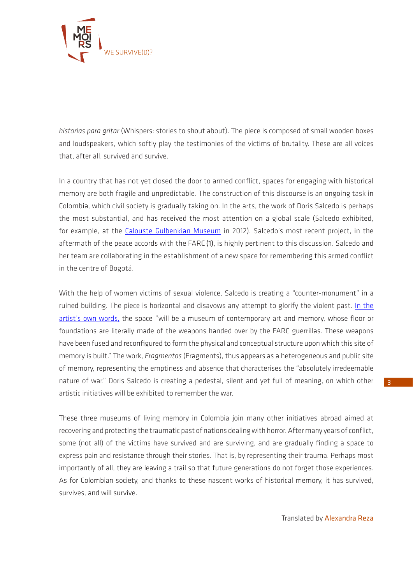

*historias para gritar* (Whispers: stories to shout about). The piece is composed of small wooden boxes and loudspeakers, which softly play the testimonies of the victims of brutality. These are all voices that, after all, survived and survive.

In a country that has not yet closed the door to armed conflict, spaces for engaging with historical memory are both fragile and unpredictable. The construction of this discourse is an ongoing task in Colombia, which civil society is gradually taking on. In the arts, the work of Doris Salcedo is perhaps the most substantial, and has received the most attention on a global scale (Salcedo exhibited, for example, at the Calouste Gulbenkian Museum in 2012). Salcedo's most recent project, in the aftermath of the peace accords with the FARC (1), is highly pertinent to this discussion. Salcedo and her team are collaborating in the establishment of a new space for remembering this armed conflict in the centre of Bogotá.

With the help of women victims of sexual violence, Salcedo is creating a "counter-monument" in a ruined building. The piece is horizontal and disavows any attempt to glorify the violent past. In the artist's own words, the space "will be a museum of contemporary art and memory, whose floor or foundations are literally made of the weapons handed over by the FARC guerrillas. These weapons have been fused and reconfigured to form the physical and conceptual structure upon which this site of memory is built." The work, *Fragmentos* (Fragments), thus appears as a heterogeneous and public site of memory, representing the emptiness and absence that characterises the "absolutely irredeemable nature of war." Doris Salcedo is creating a pedestal, silent and yet full of meaning, on which other artistic initiatives will be exhibited to remember the war.

These three museums of living memory in Colombia join many other initiatives abroad aimed at recovering and protecting the traumatic past of nations dealing with horror. After many years of conflict, some (not all) of the victims have survived and are surviving, and are gradually finding a space to express pain and resistance through their stories. That is, by representing their trauma. Perhaps most importantly of all, they are leaving a trail so that future generations do not forget those experiences. As for Colombian society, and thanks to these nascent works of historical memory, it has survived, survives, and will survive.